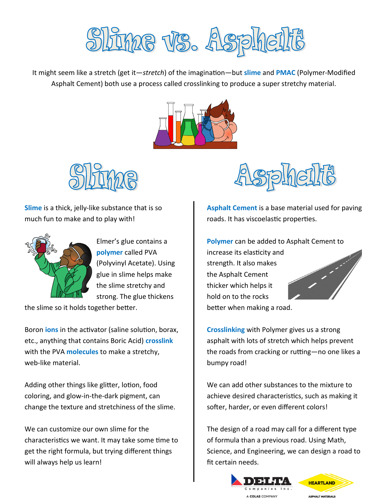

It might seem like a stretch (get it—*stretch*) of the imagination—but **slime** and **PMAC** (Polymer-Modified Asphalt Cement) both use a process called crosslinking to produce a super stretchy material.





**Slime** is a thick, jelly-like substance that is so much fun to make and to play with!



Elmer's glue contains a **polymer** called PVA (Polyvinyl Acetate). Using glue in slime helps make the slime stretchy and strong. The glue thickens

the slime so it holds together better.

Boron **ions** in the activator (saline solution, borax, etc., anything that contains Boric Acid) **crosslink** with the PVA **molecules** to make a stretchy, web-like material.

Adding other things like glitter, lotion, food coloring, and glow-in-the-dark pigment, can change the texture and stretchiness of the slime.

We can customize our own slime for the characteristics we want. It may take some time to get the right formula, but trying different things will always help us learn!



**Asphalt Cement** is a base material used for paving roads. It has viscoelastic properties.

**Polymer** can be added to Asphalt Cement to increase its elasticity and strength. It also makes the Asphalt Cement thicker which helps it hold on to the rocks better when making a road.

**Crosslinking** with Polymer gives us a strong asphalt with lots of stretch which helps prevent the roads from cracking or rutting—no one likes a bumpy road!

We can add other substances to the mixture to achieve desired characteristics, such as making it softer, harder, or even different colors!

The design of a road may call for a different type of formula than a previous road. Using Math, Science, and Engineering, we can design a road to fit certain needs.